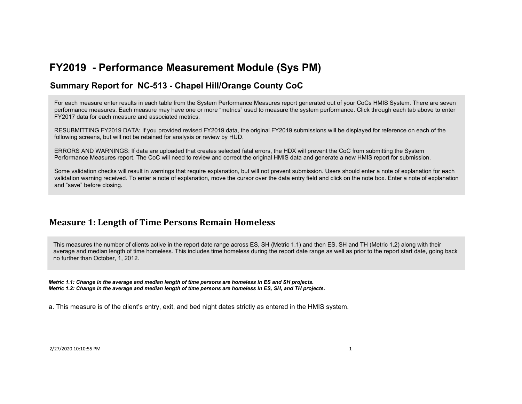#### **Summary Report for NC-513 - Chapel Hill/Orange County CoC**

For each measure enter results in each table from the System Performance Measures report generated out of your CoCs HMIS System. There are seven performance measures. Each measure may have one or more "metrics" used to measure the system performance. Click through each tab above to enter FY2017 data for each measure and associated metrics.

RESUBMITTING FY2019 DATA: If you provided revised FY2019 data, the original FY2019 submissions will be displayed for reference on each of the following screens, but will not be retained for analysis or review by HUD.

ERRORS AND WARNINGS: If data are uploaded that creates selected fatal errors, the HDX will prevent the CoC from submitting the System Performance Measures report. The CoC will need to review and correct the original HMIS data and generate a new HMIS report for submission.

Some validation checks will result in warnings that require explanation, but will not prevent submission. Users should enter a note of explanation for each validation warning received. To enter a note of explanation, move the cursor over the data entry field and click on the note box. Enter a note of explanation and "save" before closing.

## **Measure 1: Length of Time Persons Remain Homeless**

This measures the number of clients active in the report date range across ES, SH (Metric 1.1) and then ES, SH and TH (Metric 1.2) along with their average and median length of time homeless. This includes time homeless during the report date range as well as prior to the report start date, going back no further than October, 1, 2012.

*Metric 1.1: Change in the average and median length of time persons are homeless in ES and SH projects. Metric 1.2: Change in the average and median length of time persons are homeless in ES, SH, and TH projects.*

a. This measure is of the client's entry, exit, and bed night dates strictly as entered in the HMIS system.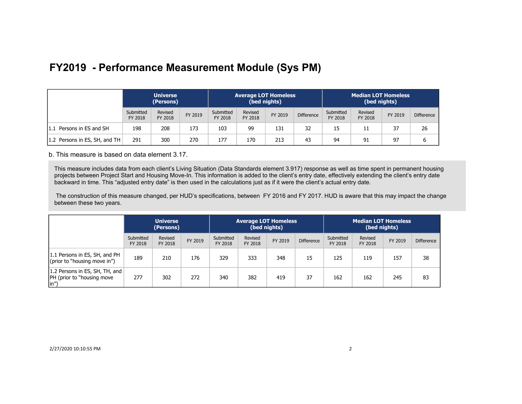|                               | <b>Universe</b><br>(Persons) |                    |         |                      |                    | <b>Average LOT Homeless</b><br>(bed nights) |                   |                      | <b>Median LOT Homeless</b><br>(bed nights) |         |                   |  |
|-------------------------------|------------------------------|--------------------|---------|----------------------|--------------------|---------------------------------------------|-------------------|----------------------|--------------------------------------------|---------|-------------------|--|
|                               | Submitted<br>FY 2018         | Revised<br>FY 2018 | FY 2019 | Submitted<br>FY 2018 | Revised<br>FY 2018 | FY 2019                                     | <b>Difference</b> | Submitted<br>FY 2018 | Revised<br>FY 2018                         | FY 2019 | <b>Difference</b> |  |
| 1.1 Persons in ES and SH      | 198                          | 208                | 173     | 103                  | 99                 | 131                                         | 32                | 15                   |                                            | 37      | 26                |  |
| 1.2 Persons in ES, SH, and TH | 291                          | 300                | 270     | 177                  | 170                | 213                                         | 43                | 94                   | 91                                         | 97      |                   |  |

b. This measure is based on data element 3.17.

This measure includes data from each client's Living Situation (Data Standards element 3.917) response as well as time spent in permanent housing projects between Project Start and Housing Move-In. This information is added to the client's entry date, effectively extending the client's entry date backward in time. This "adjusted entry date" is then used in the calculations just as if it were the client's actual entry date.

 The construction of this measure changed, per HUD's specifications, between FY 2016 and FY 2017. HUD is aware that this may impact the change between these two years.

|                                                                       | <b>Universe</b><br>(Persons) |                    |         |                      | <b>Average LOT Homeless</b> | (bed nights) |                   | <b>Median LOT Homeless</b><br>(bed nights) |                    |         |                   |
|-----------------------------------------------------------------------|------------------------------|--------------------|---------|----------------------|-----------------------------|--------------|-------------------|--------------------------------------------|--------------------|---------|-------------------|
|                                                                       | Submitted<br>FY 2018         | Revised<br>FY 2018 | FY 2019 | Submitted<br>FY 2018 | Revised<br>FY 2018          | FY 2019      | <b>Difference</b> | Submitted<br>FY 2018                       | Revised<br>FY 2018 | FY 2019 | <b>Difference</b> |
| 1.1 Persons in ES, SH, and PH<br>(prior to "housing move in")         | 189                          | 210                | 176     | 329                  | 333                         | 348          | 15                | 125                                        | 119                | 157     | 38                |
| 1.2 Persons in ES, SH, TH, and<br> PH (prior to "housing move<br>(in" | 277                          | 302                | 272     | 340                  | 382                         | 419          | 37                | 162                                        | 162                | 245     | 83                |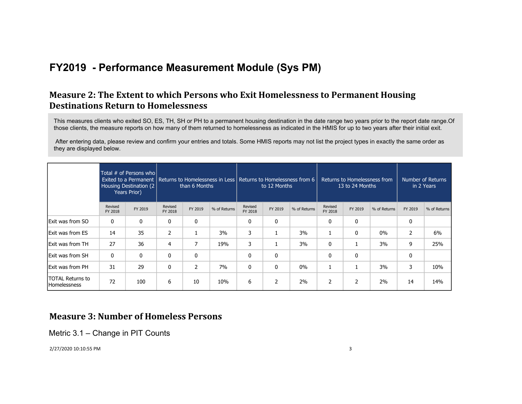## **Measure 2: The Extent to which Persons who Exit Homelessness to Permanent Housing Destinations Return to Homelessness**

This measures clients who exited SO, ES, TH, SH or PH to a permanent housing destination in the date range two years prior to the report date range.Of those clients, the measure reports on how many of them returned to homelessness as indicated in the HMIS for up to two years after their initial exit.

 After entering data, please review and confirm your entries and totals. Some HMIS reports may not list the project types in exactly the same order as they are displayed below.

|                                         |                    | Total # of Persons who<br>Exited to a Permanent   Returns to Homelessness in Less   Returns to Homelessness from 6<br>Housing Destination (2)<br>Years Prior) |                    | than 6 Months |              |                    | to 12 Months |              | Returns to Homelessness from<br>13 to 24 Months |              | Number of Returns<br>in 2 Years |                |              |
|-----------------------------------------|--------------------|---------------------------------------------------------------------------------------------------------------------------------------------------------------|--------------------|---------------|--------------|--------------------|--------------|--------------|-------------------------------------------------|--------------|---------------------------------|----------------|--------------|
|                                         | Revised<br>FY 2018 | FY 2019                                                                                                                                                       | Revised<br>FY 2018 | FY 2019       | % of Returns | Revised<br>FY 2018 | FY 2019      | % of Returns | Revised<br>FY 2018                              | FY 2019      | % of Returns                    | FY 2019        | % of Returns |
| <b>Exit was from SO</b>                 | 0                  | 0                                                                                                                                                             | 0                  | 0             |              | 0                  | 0            |              | 0                                               | 0            |                                 | 0              |              |
| <b>Exit was from ES</b>                 | 14                 | 35                                                                                                                                                            | $\overline{2}$     |               | 3%           | 3                  |              | 3%           | 1                                               | $\mathbf{0}$ | $0\%$                           | $\overline{2}$ | 6%           |
| Exit was from TH                        | 27                 | 36                                                                                                                                                            | 4                  | 7             | 19%          | 3                  | <b>L</b>     | 3%           | 0                                               |              | 3%                              | 9              | 25%          |
| <b>Exit was from SH</b>                 | 0                  | 0                                                                                                                                                             | 0                  | $\Omega$      |              | 0                  | 0            |              | 0                                               | 0            |                                 | 0              |              |
| <b>Exit was from PH</b>                 | 31                 | 29                                                                                                                                                            | 0                  | 2             | 7%           | 0                  | 0            | $0\%$        | 1                                               |              | 3%                              | 3              | 10%          |
| TOTAL Returns to<br><b>Homelessness</b> | 72                 | 100                                                                                                                                                           | 6                  | 10            | 10%          | 6                  | 2            | 2%           | 2                                               | 2            | 2%                              | 14             | 14%          |

### **Measure 3: Number of Homeless Persons**

Metric 3.1 – Change in PIT Counts

2/27/2020 10:10:55 PM 3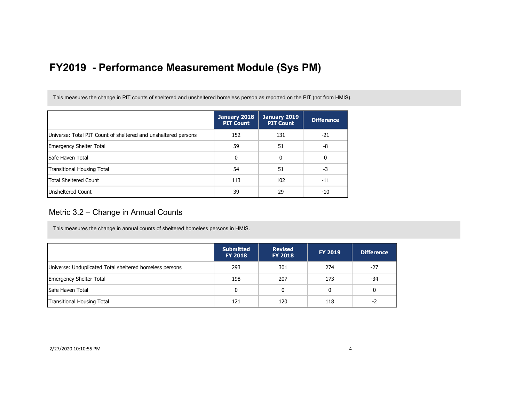This measures the change in PIT counts of sheltered and unsheltered homeless person as reported on the PIT (not from HMIS).

|                                                                | January 2018<br><b>PIT Count</b> | January 2019<br><b>PIT Count</b> | <b>Difference</b> |
|----------------------------------------------------------------|----------------------------------|----------------------------------|-------------------|
| Universe: Total PIT Count of sheltered and unsheltered persons | 152                              | 131                              | $-21$             |
| Emergency Shelter Total                                        | 59                               | 51                               | -8                |
| lSafe Haven Total                                              | 0                                | 0                                | 0                 |
| Transitional Housing Total                                     | 54                               | 51                               | -3                |
| <b>Total Sheltered Count</b>                                   | 113                              | 102                              | $-11$             |
| Unsheltered Count                                              | 39                               | 29                               | -10               |

#### Metric 3.2 – Change in Annual Counts

This measures the change in annual counts of sheltered homeless persons in HMIS.

|                                                         | <b>Submitted</b><br><b>FY 2018</b> | <b>Revised</b><br><b>FY 2018</b> | <b>FY 2019</b> | <b>Difference</b> |
|---------------------------------------------------------|------------------------------------|----------------------------------|----------------|-------------------|
| Universe: Unduplicated Total sheltered homeless persons | 293                                | 301                              | 274            | $-27$             |
| <b>Emergency Shelter Total</b>                          | 198                                | 207                              | 173            | -34               |
| <b>Safe Haven Total</b>                                 | 0                                  | 0                                | 0              | 0                 |
| <b>Transitional Housing Total</b>                       | 121                                | 120                              | 118            | $-2$              |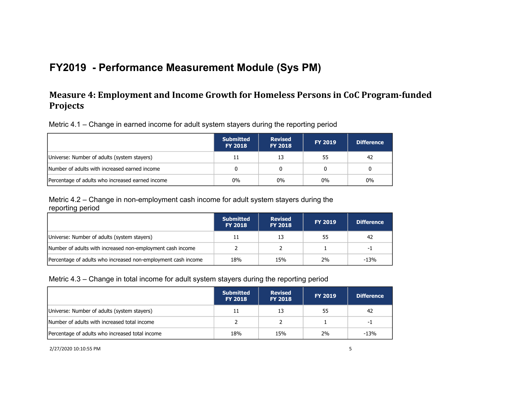## **Measure 4: Employment and Income Growth for Homeless Persons in CoC Program-funded Projects**

Metric 4.1 – Change in earned income for adult system stayers during the reporting period

|                                                  | <b>Submitted</b><br><b>FY 2018</b> | <b>Revised</b><br><b>FY 2018</b> | <b>FY 2019</b> | <b>Difference</b> |
|--------------------------------------------------|------------------------------------|----------------------------------|----------------|-------------------|
| Universe: Number of adults (system stayers)      | 11                                 | 13                               | 55             | 42                |
| Number of adults with increased earned income    |                                    |                                  |                |                   |
| Percentage of adults who increased earned income | $0\%$                              | $0\%$                            | $0\%$          | 0%                |

Metric 4.2 – Change in non-employment cash income for adult system stayers during the reporting period

|                                                               | <b>Submitted</b><br><b>FY 2018</b> | <b>Revised</b><br><b>FY 2018</b> | <b>FY 2019</b> | <b>Difference</b> |
|---------------------------------------------------------------|------------------------------------|----------------------------------|----------------|-------------------|
| Universe: Number of adults (system stayers)                   |                                    | 13                               | 55             | 42                |
| Number of adults with increased non-employment cash income    |                                    |                                  |                | -1                |
| Percentage of adults who increased non-employment cash income | 18%                                | 15%                              | 2%             | $-13%$            |

#### Metric 4.3 – Change in total income for adult system stayers during the reporting period

|                                                 | <b>Submitted</b><br><b>FY 2018</b> | <b>Revised</b><br><b>FY 2018</b> | <b>FY 2019</b> | <b>Difference</b> |
|-------------------------------------------------|------------------------------------|----------------------------------|----------------|-------------------|
| Universe: Number of adults (system stayers)     | 11                                 | 13                               | 55             | 42                |
| Number of adults with increased total income    |                                    |                                  |                | -1                |
| Percentage of adults who increased total income | 18%                                | 15%                              | 2%             | $-13%$            |

2/27/2020 10:10:55 PM 5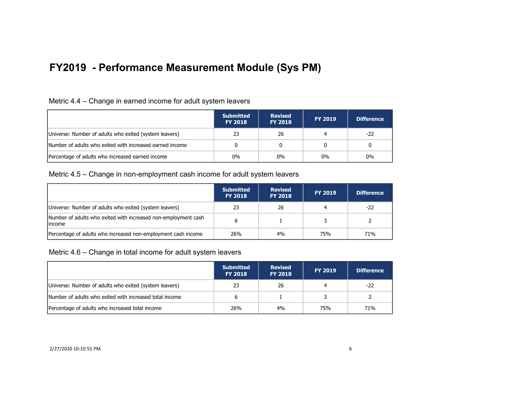| Metric 4.4 – Change in earned income for adult system leavers |  |  |  |
|---------------------------------------------------------------|--|--|--|
|                                                               |  |  |  |

|                                                          | <b>Submitted</b><br><b>FY 2018</b> | <b>Revised</b><br><b>FY 2018</b> | <b>FY 2019</b> | <b>Difference</b> |
|----------------------------------------------------------|------------------------------------|----------------------------------|----------------|-------------------|
| Universe: Number of adults who exited (system leavers)   | 23                                 | 26                               |                | -22               |
| Number of adults who exited with increased earned income |                                    |                                  |                | 0                 |
| Percentage of adults who increased earned income         | $0\%$                              | 0%                               | $0\%$          | $0\%$             |

#### Metric 4.5 – Change in non-employment cash income for adult system leavers

|                                                                           | <b>Submitted</b><br><b>FY 2018</b> | <b>Revised</b><br><b>FY 2018</b> | <b>FY 2019</b> | <b>Difference</b> |
|---------------------------------------------------------------------------|------------------------------------|----------------------------------|----------------|-------------------|
| Universe: Number of adults who exited (system leavers)                    | 23                                 | 26                               |                | -22               |
| Number of adults who exited with increased non-employment cash<br>lincome |                                    |                                  |                |                   |
| Percentage of adults who increased non-employment cash income             | 26%                                | 4%                               | 75%            | 71%               |

Metric 4.6 – Change in total income for adult system leavers

|                                                         | <b>Submitted</b><br><b>FY 2018</b> | <b>Revised</b><br><b>FY 2018</b> | <b>FY 2019</b> | Difference |
|---------------------------------------------------------|------------------------------------|----------------------------------|----------------|------------|
| Universe: Number of adults who exited (system leavers)  | 23                                 | 26                               |                | $-22$      |
| Number of adults who exited with increased total income |                                    |                                  |                |            |
| Percentage of adults who increased total income         | 26%                                | 4%                               | 75%            | 71%        |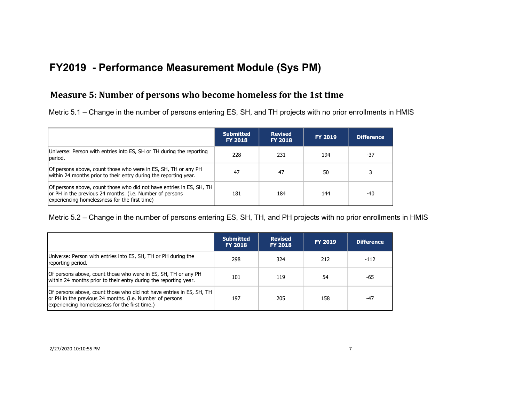## **Measure 5: Number of persons who become homeless for the 1st time**

Metric 5.1 – Change in the number of persons entering ES, SH, and TH projects with no prior enrollments in HMIS

|                                                                                                                                                                                   | <b>Submitted</b><br><b>FY 2018</b> | <b>Revised</b><br><b>FY 2018</b> | <b>FY 2019</b> | <b>Difference</b> |
|-----------------------------------------------------------------------------------------------------------------------------------------------------------------------------------|------------------------------------|----------------------------------|----------------|-------------------|
| Universe: Person with entries into ES, SH or TH during the reporting<br>period.                                                                                                   | 228                                | 231                              | 194            | -37               |
| Of persons above, count those who were in ES, SH, TH or any PH<br>within 24 months prior to their entry during the reporting year.                                                | 47                                 | 47                               | 50             |                   |
| Of persons above, count those who did not have entries in ES, SH, TH<br>or PH in the previous 24 months. (i.e. Number of persons<br>experiencing homelessness for the first time) | 181                                | 184                              | 144            | -40               |

Metric 5.2 – Change in the number of persons entering ES, SH, TH, and PH projects with no prior enrollments in HMIS

|                                                                                                                                                                                    | <b>Submitted</b><br><b>FY 2018</b> | <b>Revised</b><br><b>FY 2018</b> | <b>FY 2019</b> | Difference |
|------------------------------------------------------------------------------------------------------------------------------------------------------------------------------------|------------------------------------|----------------------------------|----------------|------------|
| Universe: Person with entries into ES, SH, TH or PH during the<br>reporting period.                                                                                                | 298                                | 324                              | 212            | $-112$     |
| Of persons above, count those who were in ES, SH, TH or any PH<br>within 24 months prior to their entry during the reporting year.                                                 | 101                                | 119                              | 54             | -65        |
| Of persons above, count those who did not have entries in ES, SH, TH<br>or PH in the previous 24 months. (i.e. Number of persons<br>experiencing homelessness for the first time.) | 197                                | 205                              | 158            | $-47$      |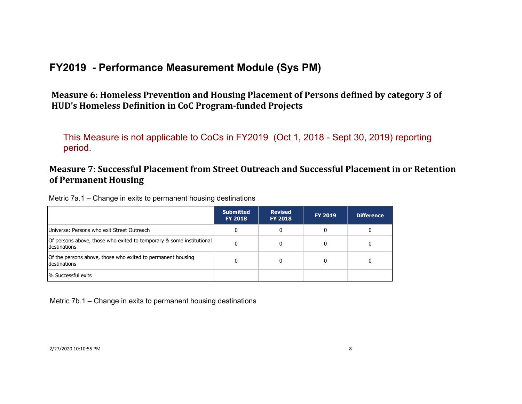Measure 6: Homeless Prevention and Housing Placement of Persons defined by category 3 of HUD's Homeless Definition in CoC Program-funded Projects

This Measure is not applicable to CoCs in FY2019 (Oct 1, 2018 - Sept 30, 2019) reporting period.

## **Measure 7: Successful Placement from Street Outreach and Successful Placement in or Retention of Permanent Housing**

Metric 7a.1 – Change in exits to permanent housing destinations

|                                                                                             | <b>Submitted</b><br><b>FY 2018</b> | <b>Revised</b><br><b>FY 2018</b> | <b>FY 2019</b> | <b>Difference</b> |
|---------------------------------------------------------------------------------------------|------------------------------------|----------------------------------|----------------|-------------------|
| Universe: Persons who exit Street Outreach                                                  |                                    |                                  |                | 0                 |
| Of persons above, those who exited to temporary & some institutional<br><b>destinations</b> |                                    |                                  |                |                   |
| Of the persons above, those who exited to permanent housing<br>destinations                 |                                    |                                  |                |                   |
| 1% Successful exits                                                                         |                                    |                                  |                |                   |

Metric 7b.1 – Change in exits to permanent housing destinations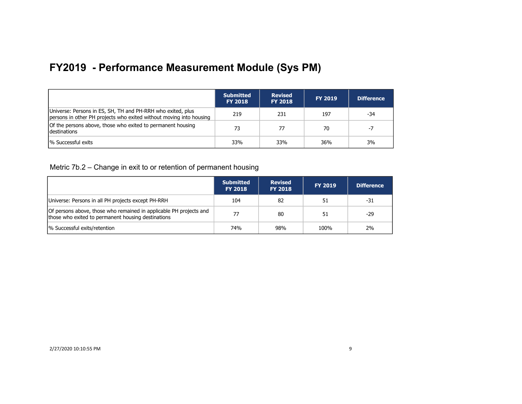|                                                                                                                                    | <b>Submitted</b><br><b>FY 2018</b> | <b>Revised</b><br><b>FY 2018</b> | <b>FY 2019</b> | <b>Difference</b> |
|------------------------------------------------------------------------------------------------------------------------------------|------------------------------------|----------------------------------|----------------|-------------------|
| Universe: Persons in ES, SH, TH and PH-RRH who exited, plus<br>persons in other PH projects who exited without moving into housing | 219                                | 231                              | 197            | -34               |
| Of the persons above, those who exited to permanent housing<br><b>Idestinations</b>                                                | 73                                 | 77                               | 70             | -7                |
| % Successful exits                                                                                                                 | 33%                                | 33%                              | 36%            | 3%                |

Metric 7b.2 – Change in exit to or retention of permanent housing

|                                                                                                                          | <b>Submitted</b><br><b>FY 2018</b> | <b>Revised</b><br><b>FY 2018</b> | <b>FY 2019</b> | <b>Difference</b> |
|--------------------------------------------------------------------------------------------------------------------------|------------------------------------|----------------------------------|----------------|-------------------|
| Universe: Persons in all PH projects except PH-RRH                                                                       | 104                                | 82                               | 51             | -31               |
| Of persons above, those who remained in applicable PH projects and<br>those who exited to permanent housing destinations | 77                                 | 80                               | 51             | -29               |
| % Successful exits/retention                                                                                             | 74%                                | 98%                              | 100%           | 2%                |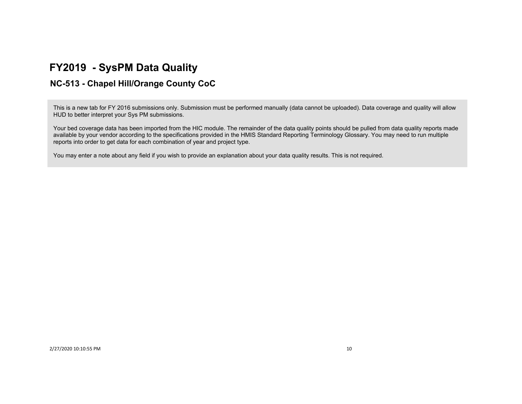# **FY2019 - SysPM Data Quality**

## **NC-513 - Chapel Hill/Orange County CoC**

This is a new tab for FY 2016 submissions only. Submission must be performed manually (data cannot be uploaded). Data coverage and quality will allow HUD to better interpret your Sys PM submissions.

Your bed coverage data has been imported from the HIC module. The remainder of the data quality points should be pulled from data quality reports made available by your vendor according to the specifications provided in the HMIS Standard Reporting Terminology Glossary. You may need to run multiple reports into order to get data for each combination of year and project type.

You may enter a note about any field if you wish to provide an explanation about your data quality results. This is not required.